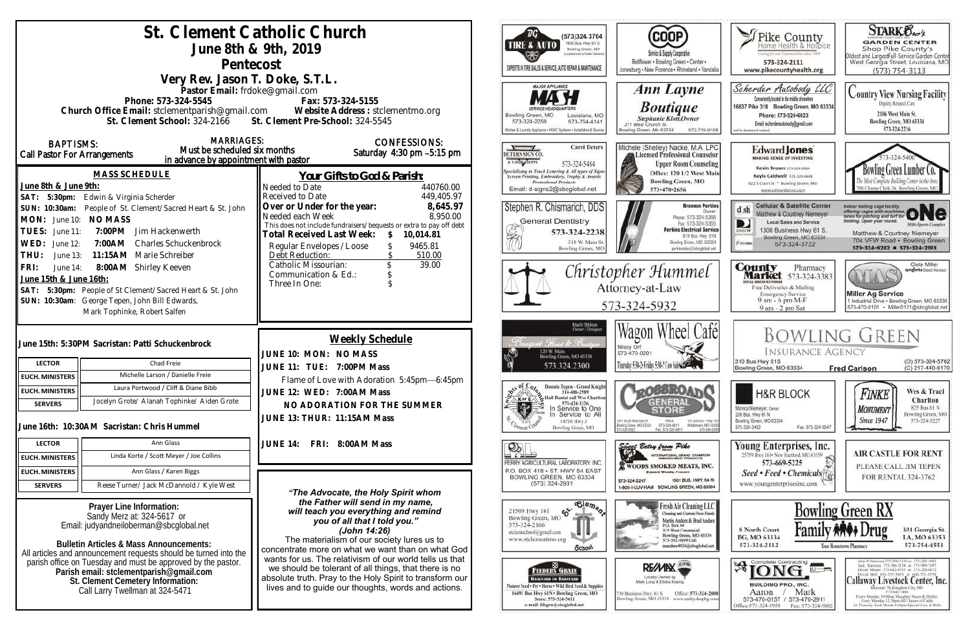| St. Clement Catholic Church<br>June 8th & 9th, 2019<br>Pentecost<br>Very Rev. Jason T. Doke, S.T.L.                                                                                                                                                                                                                                                                                                                                                                                        |                                                                                                                                                                                                                                                                                                                                                          | $\overline{B}G$<br>(573)324 3704<br>1400 Bus. Hwy 61 S.<br>TIRE & AUTO<br>Bowling Green, MO<br>pigebut reset to Dallar General<br>EXPERTS IN TIRE SALES & SERVICE, AUTO REPAIR & MAINTENANCE                                                      | (COOP)<br>Service & Supply Cooperative<br>Bellflower . Bowling Green . Center .<br>Jonesburg . New Florence . Rhineland . Vandalia                                                                                  | Pike County<br>Certag for our Communities street PWF<br>573-324-2111<br>www.pikecountyhealth.org                                                                                                                                | <b>STARK Oxo's</b><br><b>GARDEN CENTER</b><br>Shop Pike County's<br>Oldest and LargestFull-Service Garden Center<br>West Georgia Street, Louisiana, MO<br>$(573) 754 - 3113$                                                                                                                                                                                                                                                  |
|--------------------------------------------------------------------------------------------------------------------------------------------------------------------------------------------------------------------------------------------------------------------------------------------------------------------------------------------------------------------------------------------------------------------------------------------------------------------------------------------|----------------------------------------------------------------------------------------------------------------------------------------------------------------------------------------------------------------------------------------------------------------------------------------------------------------------------------------------------------|---------------------------------------------------------------------------------------------------------------------------------------------------------------------------------------------------------------------------------------------------|---------------------------------------------------------------------------------------------------------------------------------------------------------------------------------------------------------------------|---------------------------------------------------------------------------------------------------------------------------------------------------------------------------------------------------------------------------------|-------------------------------------------------------------------------------------------------------------------------------------------------------------------------------------------------------------------------------------------------------------------------------------------------------------------------------------------------------------------------------------------------------------------------------|
| Pastor Email: frdoke@gmail.com<br>Phone: 573-324-5545<br>Fax: 573-324-5155<br>Church Office Email: stclementparish@gmail.com Website Address : stclementmo.org<br>St. Clement Pre-School: 324-5545<br>St. Clement School: 324-2166<br><b>MARRIAGES:</b>                                                                                                                                                                                                                                    |                                                                                                                                                                                                                                                                                                                                                          | <b>MAJOR APPLIANCE</b><br>Bowling Green, MO<br>Louisiana, MO<br>573-324-2259<br>573-754-4141<br>Kilchen & Laundry Appliance . HVAC Systems . Installation & Service                                                                               | <b>Ann Layne</b><br><b>Boutique</b><br>Stephanie Klott, Owner<br>211 West Church St.<br>Jowling Green, Mo 63334<br>573-719-9108                                                                                     | Scherder Autobody LLC<br>Conveniently located in the middle of nowhere<br>16637 Pike 318 Bowling Green, MO 63334<br>Phone: 573+324+6023<br>Email: scherderautobody@gmail.com<br>of for directions if needed                     | <b>Country View Nursing Facility</b><br>Dignity, Respect, Care<br>2106 West Main St.<br>Bowling Green, MO 63334<br>573-324-2216                                                                                                                                                                                                                                                                                               |
| <b>BAPTISMS:</b><br>Must be scheduled six months<br>Call Pastor For Arrangements<br>in advance by appointment with pastor<br><b>MASS SCHEDULE</b><br>June 8th & June 9th:<br>Edwin & Virginia Scherder<br>SAT: 5:30pm:                                                                                                                                                                                                                                                                     | <b>CONFESSIONS:</b><br>Saturday 4:30 pm -5:15 pm<br>Your Gifts to God & Parish:<br>Needed to Date<br>440760.00<br>Received to Date<br>449,405.97                                                                                                                                                                                                         | <b>Carol Deters</b><br>DETERS SIGN CO.<br>A LSHING SHOPPE<br>573-324-5484<br>Specializing in Truck Lettering & All types of Signs<br>Screen Printing, Embroidery, Trophy & Awards<br><b>Promotional Products</b><br>Email: d-signs2@sbcglobal.net | Michele (Shelley) Nacke, M.A. LPC<br>Licensed Professional Counselor<br><b>Upper Room Counseling</b><br>Office: 120 1/2 West Main<br><b>Bowling Green, MO</b><br>573-470-2656                                       | Edward Jones<br><b>MAKING SENSE OF INVESTING</b><br>Kevin Brown 573-324-6604<br>Kayla Caldwell 573-324-6604<br>822 S Court St * Bowling Green, MO<br>www.edwardjones.com                                                        | Bowling Green Lumber Co.<br>700 Champ Clark Dr. Bowling Green, Mt                                                                                                                                                                                                                                                                                                                                                             |
| SUN: 10:30am: People of St. Clement/Sacred Heart & St. John<br>MON: June 10: NO MASS<br><b>TUES:</b><br>7:00PM Jim Hackenwerth<br>June 11:<br>WED:<br>7:00AM Charles Schuckenbrock<br>June 12:<br>THU:<br>11:15AM Marie Schreiber<br>June 13:                                                                                                                                                                                                                                              | Over or Under for the year:<br>8,645.97<br>Needed each Week<br>8,950.00<br>This does not include fundraisers/bequests or extra to pay off debt<br>Total Received Last Week:<br>10,014.81<br>$\mathcal{S}$<br>Regular Envelopes / Loose<br>9465.81<br>Debt Reduction:<br>510.00<br>Catholic Missourian:<br>39.00<br>Communication & Ed.:<br>Three In One: | Stephen R. Chismarich, DDS<br><b>General Dentistry</b><br>573-324-2238<br>笑<br>310 W. Main St<br>Bowling Green, MO                                                                                                                                | <b>Brennen Perkins</b><br><b>Dwner</b><br>Phone: 573-324-5366<br>Fax: 573-324-5355<br><b>Perkins Electrical Service</b><br>819 Bus. Hwy. 61N<br>Bowling Green, MO. 63334<br>perkinselec@shoclobal.net               | <b>Cellular &amp; Satellite Center</b><br>$d \, sh$<br>Matthew & Courtney Niemeyer<br><b>Local Sales and Service</b><br>1300 Business Hwy 61 S.<br>DIRECTY<br>Bowling Green, MO 63334<br><b><i>Platchie</i></b><br>573-324-3722 | Indoor batting cage facility.<br>offering cages with machines ONC<br>lelding, Open year round.<br><b>Milli-Sparts Complex</b><br>Matthew & Courtney Niemeyer<br>704 VFW Road · Bowling Green<br>573-324-8282 0 573-324-2193                                                                                                                                                                                                   |
| FRI:<br>8:00AM Shirley Keeven<br>June 14:<br>June 15th & June 16th:<br>SAT: 5:30pm: People of St Clement/Sacred Heart & St. John<br>SUN: 10:30am: George Tepen, John Bill Edwards,<br>Mark Tophinke, Robert Salfen                                                                                                                                                                                                                                                                         |                                                                                                                                                                                                                                                                                                                                                          |                                                                                                                                                                                                                                                   | Christopher Hummel<br>Attorney-at-Law<br>573-324-5932                                                                                                                                                               | <b>County</b> Pharmacy<br><b>Market</b> 573-324-3383<br><b>OTAL BISCOUNT POOGS</b><br>Free Deliveries & Mailing<br><b>Emergency Service</b><br>9 am - 6 pm M-F<br>9 am - 2 pm Sat                                               | Clete Miller<br>syngenta Sood Advisor<br>WIAS<br><b>Miller Ag Service</b><br>1 Industrial Drive . Bowling Green, MO 63334<br>573-470-0101 Miller0121@sbcglobal.net                                                                                                                                                                                                                                                            |
| June 15th: 5:30PM Sacristan: Patti Schuckenbrock<br><b>LECTOR</b><br>Chad Freie<br>Michelle Larson / Danielle Freie<br><b>EUCH. MINISTERS</b>                                                                                                                                                                                                                                                                                                                                              | <b>Weekly Schedule</b><br>JUNE 10: MON: NO MASS<br>JUNE 11: TUE: 7:00PM Mass                                                                                                                                                                                                                                                                             | Barb Shinn<br>Owner/Designer<br>120 W. Main<br>Bowling Green, MO 63334<br>573.324.2300                                                                                                                                                            | Wagon Wheel Café<br>Missy Orf<br>573-470-0291<br>Thursday 5:30-2 Friday 5:30-2 Con Subscription                                                                                                                     | <b>INSURANCE AGENCY</b><br>310 Bus Hwy 61S<br>Bowling Green, MO 63334                                                                                                                                                           | <b>BOWLING GREEN</b><br>(O) 573-324-5762<br>(C) 217-440-6170<br><b>Fred Carlson</b>                                                                                                                                                                                                                                                                                                                                           |
| Laura Portwood / Cliff & Diane Bibb<br><b>EUCH. MINISTERS</b><br>Jocelyn Grote/ Alanah Tophinke/ Aiden Grote<br><b>SERVERS</b><br>June 16th: 10:30AM Sacristan: Chris Hummel                                                                                                                                                                                                                                                                                                               | Flame of Love with Adoration 5:45pm-6:45pm<br>JUNE 12: WED: 7:00AM Mass<br>NO ADORATION FOR THE SUMMER<br>JUNE 13: THUR: 11:15AM Mass                                                                                                                                                                                                                    | Donnie Tepen - Grand Knight<br>314-486-2989<br>Hall Rental call Wes Charlton<br>Kor C<br>573-424-1126<br>ak≱<br>In Service to One<br>Service to All<br>14516 Hwy J<br>Bowling Green, MO                                                           | <b>LOOBBROA</b><br><b>GENERAL</b><br>1001 South Business 61<br>Office<br>110 Johnson - Hwy 10<br>Ecwing Green, MD 63304<br>573-324-6811<br>Middietown, MO-6339<br>Fax: 573-324-6811<br>573-549-209                  | <b>H&amp;R BLOCK</b><br>Monica Niemeyer, Owner<br>206 Bus. Hwy 61 N<br>Bowling Green, MO 63334<br>573-324-3402<br>Fax: 573-324-5047                                                                                             | Wes & Traci<br>Finke<br>Charlton<br>825 Bus 61 N<br><b>MONUMENT</b><br>Bowling Green, MO<br><b>Since 1947</b><br>573-324-5227                                                                                                                                                                                                                                                                                                 |
| Ann Glass<br><b>LECTOR</b><br>Linda Korte / Scott Meyer / Joe Collins<br><b>EUCH. MINISTERS</b><br>Ann Glass / Karen Biggs<br><b>EUCH. MINISTERS</b><br><b>SERVERS</b><br>Reese Turner/ Jack McDannold / Kyle West                                                                                                                                                                                                                                                                         | FRI: 8:00AM Mass<br><b>JUNE 14:</b><br>"The Advocate, the Holy Spirit whom                                                                                                                                                                                                                                                                               | $\mathbb{P}$<br>PERRY AGRICULTURAL LABORATORY, INC.<br>P.O. BOX 418 . ST. HWY 54 EAST<br>BOWLING GREEN, MO 63334<br>$(573)$ 324-2931                                                                                                              | Since Betsy from Pike<br>INTERNATIONAL GRAND CHAMFION<br>WOODS SMOKED MEATS, INC.<br><b>Edward Woods, President</b><br>1501 BUS, HWY, 54 W.<br>573-324-2247<br>1-800-I-LUV-HAM BOWLING GREEN, MO 63334              | Young Enterprises, Inc.<br>25759 Hwy 161 . New Hartford, MO 63359<br>573-669-5225<br>Seed • Feed • Chemicals <sup>[4]</sup><br>www.youngenterprisesinc.com                                                                      | <b>AIR CASTLE FOR RENT</b><br>PLEASE CALL JIM TEPEN<br>FOR RENTAL 324-3762                                                                                                                                                                                                                                                                                                                                                    |
| Prayer Line Information:<br>Sandy Merz at: 324-5617 or<br>Email: judyandneiloberman@sbcglobal.net<br><b>Bulletin Articles &amp; Mass Announcements:</b>                                                                                                                                                                                                                                                                                                                                    | the Father will send in my name,<br>will teach you everything and remind<br>you of all that I told you."<br>(John 14:26)<br>The materialism of our society lures us to<br>concentrate more on what we want than on what God                                                                                                                              | $\overline{\text{e}^{\text{le}}_{\text{in}}\text{e}_{\text{in}}^{\text{e}} }$<br>$\mathcal{E}$<br>21509 Hwy 161<br>Bowling Green, MO<br>573-324-2166<br>stelemschool@gmail.com<br>www.stclementmo.org<br><b>School</b>                            | Fresh Air Cleaning LLC<br>Cleaning and Custom Floor Finish<br>Martin Anders & Brad Anders<br>P.O. Box 44<br><b>315 West Centennial</b><br>Bowling Green, MO 63334<br>573-592-9899 Cell<br>manders4036@sbcglobal.net | 8 North Court<br>BG, MO 63334<br>573-324-2112                                                                                                                                                                                   | <b>Bowling Green RX</b><br>301 Georgia St.<br>LA, MO 63353<br>573-754-4551<br>Your Hometown Pharmacy                                                                                                                                                                                                                                                                                                                          |
| All articles and announcement requests should be turned into the<br>wants for us. The relativism of our world tells us that<br>parish office on Tuesday and must be approved by the pastor.<br>Parish email: stclementparish@gmail.com<br>we should be tolerant of all things, that there is no<br>absolute truth. Pray to the Holy Spirit to transform our<br>St. Clement Cemetery Information:<br>lives and to guide our thoughts, words and actions.<br>Call Larry Twellman at 324-5471 |                                                                                                                                                                                                                                                                                                                                                          | FEEDERS GRAIN<br><b>BACKYARD TO BARNVARD</b><br>Pinneer Seed + Pet . Horse . Wild Bird Feed & Supplies<br>16491 Bus Hwy 61N . Bowling Green, MO<br>Store: 573-324-5411<br>e-mail: fdsgrn@sbcglobal.net                                            | RE/MIX<br>Locally Owned by<br>Office: 573-324-2800<br>730 Business Hwy. 61 S<br>Bowling Green, MO 63334 www.realtyshopbg.com                                                                                        | <b>Ajone</b><br>$\overline{u}$<br><b>BUILDING PRO., INC.</b><br>Mark<br>Aaron<br>573-470-0157 / 573-470-2911<br>Office:573-324-5958 Fax: 573-324-980                                                                            | John P. Harrison 573-386-5150 or 573-220-1482<br>Jack Hurrison 573-386-2138 or 573-999-7197<br>David Means 573-642-9753 or 573-220-0472<br>David Bell 816-527-5633 or 660-721-1370<br>Callaway Livestock Center, Inc.<br>state 70, Kingdoni City, MO-<br>573-642-7480<br>Every Monday 10:00am Slaughter Steers & Heifers<br>Every Merakov 12:30pm All Classes of Cattle<br>at Thursday Each Month 6:00pm Special Cow & Bulls. |